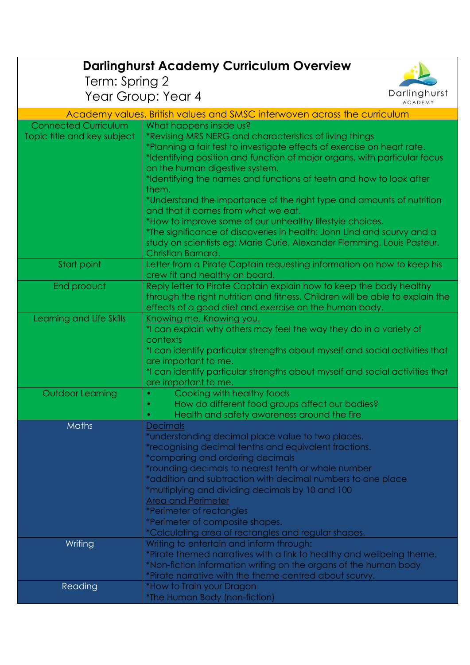| <b>Darlinghurst Academy Curriculum Overview</b> |                                                                                                       |  |
|-------------------------------------------------|-------------------------------------------------------------------------------------------------------|--|
| Term: Spring 2                                  |                                                                                                       |  |
|                                                 | Darlinghurst<br>Year Group: Year 4<br><b>ACADEMY</b>                                                  |  |
|                                                 | Academy values, British values and SMSC interwoven across the curriculum                              |  |
| <b>Connected Curriculum</b>                     | What happens inside us?                                                                               |  |
| Topic title and key subject                     | *Revising MRS NERG and characteristics of living things                                               |  |
|                                                 | *Planning a fair test to investigate effects of exercise on heart rate.                               |  |
|                                                 | *Identifying position and function of major organs, with particular focus                             |  |
|                                                 | on the human digestive system.<br>*Identifying the names and functions of teeth and how to look after |  |
|                                                 | them.                                                                                                 |  |
|                                                 | *Understand the importance of the right type and amounts of nutrition                                 |  |
|                                                 | and that it comes from what we eat.                                                                   |  |
|                                                 | *How to improve some of our unhealthy lifestyle choices.                                              |  |
|                                                 | *The significance of discoveries in health: John Lind and scurvy and a                                |  |
|                                                 | study on scientists eg: Marie Curie, Alexander Flemming, Louis Pasteur,<br>Christian Barnard.         |  |
| Start point                                     | Letter from a Pirate Captain requesting information on how to keep his                                |  |
|                                                 | crew fit and healthy on board.                                                                        |  |
| End product                                     | Reply letter to Pirate Captain explain how to keep the body healthy                                   |  |
|                                                 | through the right nutrition and fitness. Children will be able to explain the                         |  |
|                                                 | effects of a good diet and exercise on the human body.                                                |  |
| Learning and Life Skills                        | Knowing me, Knowing you.<br>*I can explain why others may feel the way they do in a variety of        |  |
|                                                 | contexts                                                                                              |  |
|                                                 | *I can identify particular strengths about myself and social activities that                          |  |
|                                                 | are important to me.                                                                                  |  |
|                                                 | *I can identify particular strengths about myself and social activities that                          |  |
| <b>Outdoor Learning</b>                         | are important to me.<br>Cooking with healthy foods                                                    |  |
|                                                 | How do different food groups affect our bodies?                                                       |  |
|                                                 | Health and safety awareness around the fire<br>$\bullet$                                              |  |
| <b>Maths</b>                                    | <b>Decimals</b>                                                                                       |  |
|                                                 | *understanding decimal place value to two places.                                                     |  |
|                                                 | *recognising decimal tenths and equivalent fractions.<br>*comparing and ordering decimals             |  |
|                                                 | *rounding decimals to nearest tenth or whole number                                                   |  |
|                                                 | *addition and subtraction with decimal numbers to one place                                           |  |
|                                                 | *multiplying and dividing decimals by 10 and 100                                                      |  |
|                                                 | <b>Area and Perimeter</b>                                                                             |  |
|                                                 | <i>*Perimeter of rectangles</i>                                                                       |  |
|                                                 | *Perimeter of composite shapes.<br>*Calculating area of rectangles and regular shapes.                |  |
| Writing                                         | Writing to entertain and inform through:                                                              |  |
|                                                 | *Pirate themed narratives with a link to healthy and wellbeing theme.                                 |  |
|                                                 | *Non-fiction information writing on the organs of the human body                                      |  |
|                                                 | *Pirate narrative with the theme centred about scurvy.                                                |  |
| Reading                                         | *How to Train your Dragon                                                                             |  |
|                                                 | *The Human Body (non-fiction)                                                                         |  |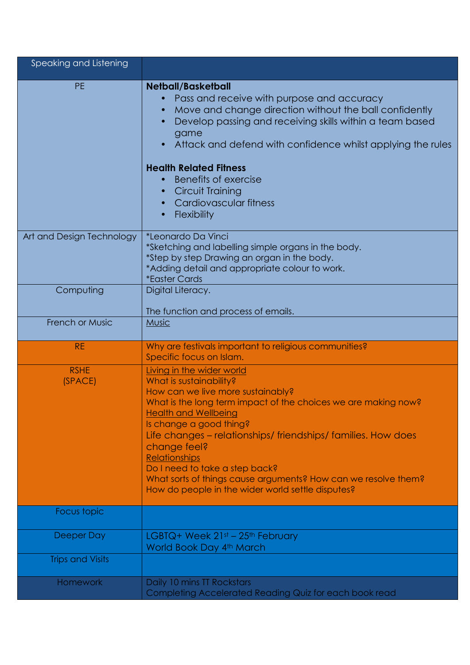| Speaking and Listening    |                                                                                                                                                                                                                                                                                                                                                                                                                                                                                         |
|---------------------------|-----------------------------------------------------------------------------------------------------------------------------------------------------------------------------------------------------------------------------------------------------------------------------------------------------------------------------------------------------------------------------------------------------------------------------------------------------------------------------------------|
| <b>PE</b>                 | <b>Netball/Basketball</b><br>Pass and receive with purpose and accuracy<br>Move and change direction without the ball confidently<br>Develop passing and receiving skills within a team based<br>game<br>Attack and defend with confidence whilst applying the rules<br>$\bullet$<br><b>Health Related Fitness</b><br>Benefits of exercise<br><b>Circuit Training</b><br>$\bullet$<br>Cardiovascular fitness<br>Flexibility                                                             |
| Art and Design Technology | *Leonardo Da Vinci<br>*Sketching and labelling simple organs in the body.<br>*Step by step Drawing an organ in the body.<br>*Adding detail and appropriate colour to work.<br><i><b>*Easter Cards</b></i>                                                                                                                                                                                                                                                                               |
| Computing                 | Digital Literacy.<br>The function and process of emails.                                                                                                                                                                                                                                                                                                                                                                                                                                |
| <b>French or Music</b>    | <b>Music</b>                                                                                                                                                                                                                                                                                                                                                                                                                                                                            |
|                           |                                                                                                                                                                                                                                                                                                                                                                                                                                                                                         |
| <b>RE</b>                 | Why are festivals important to religious communities?<br>Specific focus on Islam.                                                                                                                                                                                                                                                                                                                                                                                                       |
| <b>RSHE</b><br>(SPACE)    | Living in the wider world<br>What is sustainability?<br>How can we live more sustainably?<br>What is the long term impact of the choices we are making now?<br><b>Health and Wellbeing</b><br>Is change a good thing?<br>Life changes – relationships/ friendships/ families. How does<br>change feel?<br><b>Relationships</b><br>Do I need to take a step back?<br>What sorts of things cause arguments? How can we resolve them?<br>How do people in the wider world settle disputes? |
| Focus topic               |                                                                                                                                                                                                                                                                                                                                                                                                                                                                                         |
| Deeper Day                | LGBTQ+ Week $21st - 25th$ February<br>World Book Day 4th March                                                                                                                                                                                                                                                                                                                                                                                                                          |
| <b>Trips and Visits</b>   |                                                                                                                                                                                                                                                                                                                                                                                                                                                                                         |